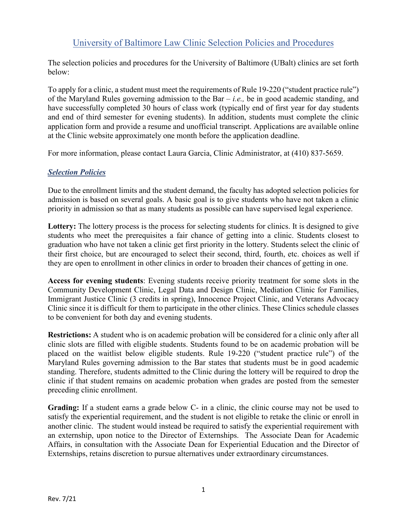# University of Baltimore Law Clinic Selection Policies and Procedures

The selection policies and procedures for the University of Baltimore (UBalt) clinics are set forth below:

To apply for a clinic, a student must meet the requirements of Rule 19-220 ("student practice rule") of the Maryland Rules governing admission to the Bar – *i.e.,* be in good academic standing, and have successfully completed 30 hours of class work (typically end of first year for day students and end of third semester for evening students). In addition, students must complete the clinic application form and provide a resume and unofficial transcript. Applications are available online at the Clinic website approximately one month before the application deadline.

For more information, please contact Laura Garcia, Clinic Administrator, at (410) 837-5659.

# *Selection Policies*

Due to the enrollment limits and the student demand, the faculty has adopted selection policies for admission is based on several goals. A basic goal is to give students who have not taken a clinic priority in admission so that as many students as possible can have supervised legal experience.

**Lottery:** The lottery process is the process for selecting students for clinics. It is designed to give students who meet the prerequisites a fair chance of getting into a clinic. Students closest to graduation who have not taken a clinic get first priority in the lottery. Students select the clinic of their first choice, but are encouraged to select their second, third, fourth, etc. choices as well if they are open to enrollment in other clinics in order to broaden their chances of getting in one.

**Access for evening students**: Evening students receive priority treatment for some slots in the Community Development Clinic, Legal Data and Design Clinic, Mediation Clinic for Families, Immigrant Justice Clinic (3 credits in spring), Innocence Project Clinic, and Veterans Advocacy Clinic since it is difficult for them to participate in the other clinics. These Clinics schedule classes to be convenient for both day and evening students.

**Restrictions:** A student who is on academic probation will be considered for a clinic only after all clinic slots are filled with eligible students. Students found to be on academic probation will be placed on the waitlist below eligible students. Rule 19-220 ("student practice rule") of the Maryland Rules governing admission to the Bar states that students must be in good academic standing. Therefore, students admitted to the Clinic during the lottery will be required to drop the clinic if that student remains on academic probation when grades are posted from the semester preceding clinic enrollment.

**Grading:** If a student earns a grade below C- in a clinic, the clinic course may not be used to satisfy the experiential requirement, and the student is not eligible to retake the clinic or enroll in another clinic. The student would instead be required to satisfy the experiential requirement with an externship, upon notice to the Director of Externships. The Associate Dean for Academic Affairs, in consultation with the Associate Dean for Experiential Education and the Director of Externships, retains discretion to pursue alternatives under extraordinary circumstances.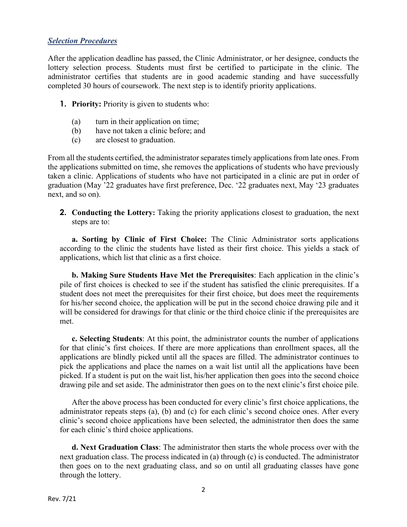#### *Selection Procedures*

After the application deadline has passed, the Clinic Administrator, or her designee, conducts the lottery selection process. Students must first be certified to participate in the clinic. The administrator certifies that students are in good academic standing and have successfully completed 30 hours of coursework. The next step is to identify priority applications.

- **1. Priority:** Priority is given to students who:
	- (a) turn in their application on time;
	- (b) have not taken a clinic before; and
	- (c) are closest to graduation.

From all the students certified, the administrator separates timely applications from late ones. From the applications submitted on time, she removes the applications of students who have previously taken a clinic. Applications of students who have not participated in a clinic are put in order of graduation (May '22 graduates have first preference, Dec. '22 graduates next, May '23 graduates next, and so on).

**2. Conducting the Lottery:** Taking the priority applications closest to graduation, the next steps are to:

**a. Sorting by Clinic of First Choice:** The Clinic Administrator sorts applications according to the clinic the students have listed as their first choice. This yields a stack of applications, which list that clinic as a first choice.

**b. Making Sure Students Have Met the Prerequisites**: Each application in the clinic's pile of first choices is checked to see if the student has satisfied the clinic prerequisites. If a student does not meet the prerequisites for their first choice, but does meet the requirements for his/her second choice, the application will be put in the second choice drawing pile and it will be considered for drawings for that clinic or the third choice clinic if the prerequisites are met.

**c. Selecting Students**: At this point, the administrator counts the number of applications for that clinic's first choices. If there are more applications than enrollment spaces, all the applications are blindly picked until all the spaces are filled. The administrator continues to pick the applications and place the names on a wait list until all the applications have been picked. If a student is put on the wait list, his/her application then goes into the second choice drawing pile and set aside. The administrator then goes on to the next clinic's first choice pile.

After the above process has been conducted for every clinic's first choice applications, the administrator repeats steps (a), (b) and (c) for each clinic's second choice ones. After every clinic's second choice applications have been selected, the administrator then does the same for each clinic's third choice applications.

**d. Next Graduation Class**: The administrator then starts the whole process over with the next graduation class. The process indicated in (a) through (c) is conducted. The administrator then goes on to the next graduating class, and so on until all graduating classes have gone through the lottery.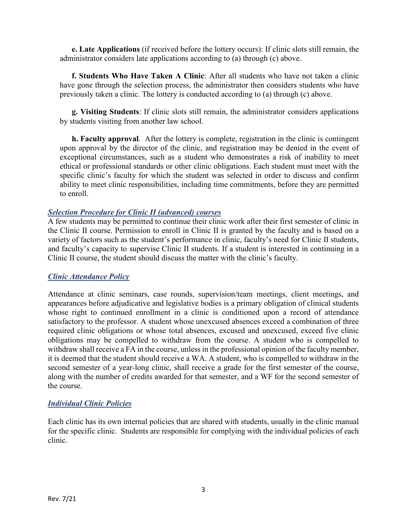**e. Late Applications** (if received before the lottery occurs): If clinic slots still remain, the administrator considers late applications according to (a) through (c) above.

**f. Students Who Have Taken A Clinic**: After all students who have not taken a clinic have gone through the selection process, the administrator then considers students who have previously taken a clinic. The lottery is conducted according to (a) through (c) above.

**g. Visiting Students**: If clinic slots still remain, the administrator considers applications by students visiting from another law school.

**h. Faculty approval**. After the lottery is complete, registration in the clinic is contingent upon approval by the director of the clinic, and registration may be denied in the event of exceptional circumstances, such as a student who demonstrates a risk of inability to meet ethical or professional standards or other clinic obligations. Each student must meet with the specific clinic's faculty for which the student was selected in order to discuss and confirm ability to meet clinic responsibilities, including time commitments, before they are permitted to enroll.

#### *Selection Procedure for Clinic II (advanced) courses*

A few students may be permitted to continue their clinic work after their first semester of clinic in the Clinic II course. Permission to enroll in Clinic II is granted by the faculty and is based on a variety of factors such as the student's performance in clinic, faculty's need for Clinic II students, and faculty's capacity to supervise Clinic II students. If a student is interested in continuing in a Clinic II course, the student should discuss the matter with the clinic's faculty.

## *Clinic Attendance Policy*

Attendance at clinic seminars, case rounds, supervision/team meetings, client meetings, and appearances before adjudicative and legislative bodies is a primary obligation of clinical students whose right to continued enrollment in a clinic is conditioned upon a record of attendance satisfactory to the professor. A student whose unexcused absences exceed a combination of three required clinic obligations or whose total absences, excused and unexcused, exceed five clinic obligations may be compelled to withdraw from the course. A student who is compelled to withdraw shall receive a FA in the course, unless in the professional opinion of the faculty member, it is deemed that the student should receive a WA. A student, who is compelled to withdraw in the second semester of a year-long clinic, shall receive a grade for the first semester of the course, along with the number of credits awarded for that semester, and a WF for the second semester of the course.

## *Individual Clinic Policies*

Each clinic has its own internal policies that are shared with students, usually in the clinic manual for the specific clinic. Students are responsible for complying with the individual policies of each clinic.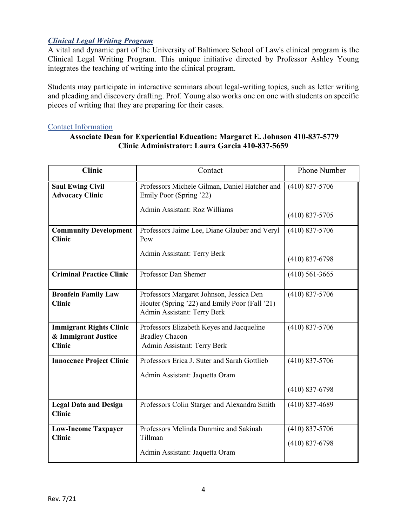# *Clinical Legal Writing Program*

A vital and dynamic part of the University of Baltimore School of Law's clinical program is the Clinical Legal Writing Program. This unique initiative directed by Professor Ashley Young integrates the teaching of writing into the clinical program.

Students may participate in interactive seminars about legal-writing topics, such as letter writing and pleading and discovery drafting. Prof. Young also works one on one with students on specific pieces of writing that they are preparing for their cases.

#### Contact Information

### **Associate Dean for Experiential Education: Margaret E. Johnson 410-837-5779 Clinic Administrator: Laura Garcia 410-837-5659**

| <b>Clinic</b>                                                          | Contact                                                                                                                  | Phone Number                         |
|------------------------------------------------------------------------|--------------------------------------------------------------------------------------------------------------------------|--------------------------------------|
| <b>Saul Ewing Civil</b><br><b>Advocacy Clinic</b>                      | Professors Michele Gilman, Daniel Hatcher and<br>Emily Poor (Spring '22)                                                 | $(410)$ 837-5706                     |
|                                                                        | Admin Assistant: Roz Williams                                                                                            | $(410)$ 837-5705                     |
| <b>Community Development</b><br><b>Clinic</b>                          | Professors Jaime Lee, Diane Glauber and Veryl<br>Pow                                                                     | $(410)$ 837-5706                     |
|                                                                        | Admin Assistant: Terry Berk                                                                                              | $(410)$ 837-6798                     |
| <b>Criminal Practice Clinic</b>                                        | Professor Dan Shemer                                                                                                     | $(410)$ 561-3665                     |
| <b>Bronfein Family Law</b><br><b>Clinic</b>                            | Professors Margaret Johnson, Jessica Den<br>Houter (Spring '22) and Emily Poor (Fall '21)<br>Admin Assistant: Terry Berk | $(410)$ 837-5706                     |
| <b>Immigrant Rights Clinic</b><br>& Immigrant Justice<br><b>Clinic</b> | Professors Elizabeth Keyes and Jacqueline<br><b>Bradley Chacon</b><br>Admin Assistant: Terry Berk                        | $(410)$ 837-5706                     |
| <b>Innocence Project Clinic</b>                                        | Professors Erica J. Suter and Sarah Gottlieb<br>Admin Assistant: Jaquetta Oram                                           | $(410)$ 837-5706<br>$(410)$ 837-6798 |
| <b>Legal Data and Design</b><br><b>Clinic</b>                          | Professors Colin Starger and Alexandra Smith                                                                             | $(410)$ 837-4689                     |
| <b>Low-Income Taxpayer</b><br><b>Clinic</b>                            | Professors Melinda Dunmire and Sakinah<br>Tillman<br>Admin Assistant: Jaquetta Oram                                      | $(410)$ 837-5706<br>$(410)$ 837-6798 |